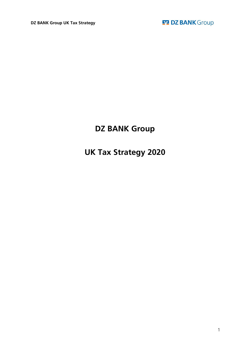## **DZ BANK Group**

# **UK Tax Strategy 2020**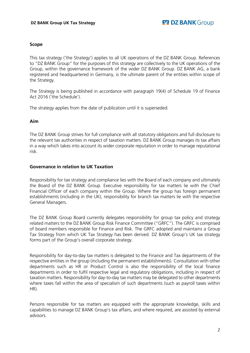#### **Scope**

This tax strategy ('the Strategy') applies to all UK operations of the DZ BANK Group. References to "DZ BANK Group" for the purposes of this strategy are collectively to the UK operations of the Group, within the governance framework of the wider DZ BANK Group. DZ BANK AG, a bank registered and headquartered in Germany, is the ultimate parent of the entities within scope of the Strategy.

The Strategy is being published in accordance with paragraph 19(4) of Schedule 19 of Finance Act 2016 ('the Schedule').

The strategy applies from the date of publication until it is superseded.

#### **Aim**

The DZ BANK Group strives for full compliance with all statutory obligations and full disclosure to the relevant tax authorities in respect of taxation matters. DZ BANK Group manages its tax affairs in a way which takes into account its wider corporate reputation in order to manage reputational risk.

#### **Governance in relation to UK Taxation**

Responsibility for tax strategy and compliance lies with the Board of each company and ultimately the Board of the DZ BANK Group. Executive responsibility for tax matters lie with the Chief Financial Officer of each company within the Group. Where the group has foreign permanent establishments (including in the UK), responsibility for branch tax matters lie with the respective General Managers.

The DZ BANK Group Board currently delegates responsibility for group tax policy and strategy related matters to the DZ BANK Group Risk Finance Committee ("GRFC"). The GRFC is comprised of board members responsible for Finance and Risk. The GRFC adopted and maintains a Group Tax Strategy from which UK Tax Strategy has been derived. DZ BANK Group's UK tax strategy forms part of the Group's overall corporate strategy.

Responsibility for day-to-day tax matters is delegated to the Finance and Tax departments of the respective entities in the group (including the permanent establishments). Consultation with other departments such as HR or Product Control is also the responsibility of the local finance departments in order to fulfil respective legal and regulatory obligations, including in respect of taxation matters. Responsibility for day-to-day tax matters may be delegated to other departments where taxes fall within the area of specialism of such departments (such as payroll taxes within HR).

Persons responsible for tax matters are equipped with the appropriate knowledge, skills and capabilities to manage DZ BANK Group's tax affairs, and where required, are assisted by external advisors.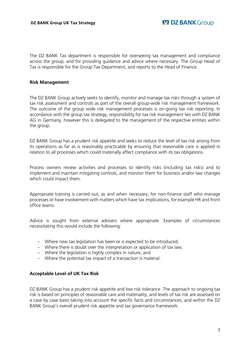The DZ BANK Tax department is responsible for overseeing tax management and compliance across the group, and for providing guidance and advice where necessary. The Group Head of Tax is responsible for the Group Tax Department, and reports to the Head of Finance.

#### **Risk Management**

The DZ BANK Group actively seeks to identify, monitor and manage tax risks through a system of tax risk assessment and controls as part of the overall group-wide risk management framework. The outcome of the group wide risk management processes is on-going tax risk reporting. In accordance with the group tax strategy, responsibility for tax risk management lies with DZ BANK AG in Germany, however this is delegated to the management of the respective entities within the group.

DZ BANK Group has a prudent risk appetite and seeks to reduce the level of tax risk arising from its operations as far as is reasonably practicable by ensuring that reasonable care is applied in relation to all processes which could materially affect compliance with its tax obligations.

Process owners review activities and processes to identify risks (including tax risks) and to implement and maintain mitigating controls, and monitor them for business and/or law changes which could impact them.

Appropriate training is carried out, as and when necessary, for non-finance staff who manage processes or have involvement with matters which have tax implications, for example HR and front office teams.

Advice is sought from external advisers where appropriate. Examples of circumstances necessitating this would include the following:

- Where new tax legislation has been or is expected to be introduced;
- Where there is doubt over the interpretation or application of tax law;
- Where the legislation is highly complex in nature; and
- Where the potential tax impact of a transaction is material.

#### **Acceptable Level of UK Tax Risk**

DZ BANK Group has a prudent risk appetite and low risk tolerance. The approach to ongoing tax risk is based on principles of reasonable care and materiality, and levels of tax risk are assessed on a case by case basis taking into account the specific facts and circumstances, and within the DZ BANK Group's overall prudent risk appetite and tax governance framework.